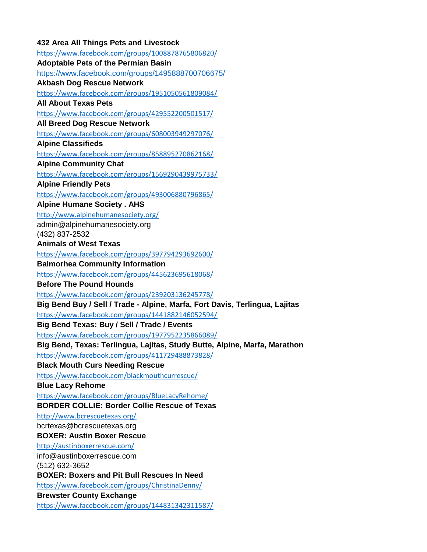## **432 Area All Things Pets and Livestock** <https://www.facebook.com/groups/1008878765806820/> **Adoptable Pets of the Permian Basin** <https://www.facebook.com/groups/1495888700706675/> **Akbash Dog Rescue Network** <https://www.facebook.com/groups/1951050561809084/> **All About Texas Pets** <https://www.facebook.com/groups/429552200501517/> **All Breed Dog Rescue Network** <https://www.facebook.com/groups/608003949297076/> **Alpine Classifieds** <https://www.facebook.com/groups/858895270862168/> **Alpine Community Chat** <https://www.facebook.com/groups/1569290439975733/> **Alpine Friendly Pets** <https://www.facebook.com/groups/493006880796865/> **Alpine Humane Society . AHS** <http://www.alpinehumanesociety.org/> admin@alpinehumanesociety.org (432) 837-2532 **Animals of West Texas** <https://www.facebook.com/groups/397794293692600/> **Balmorhea Community Information** <https://www.facebook.com/groups/445623695618068/> **Before The Pound Hounds** <https://www.facebook.com/groups/239203136245778/> **Big Bend Buy / Sell / Trade - Alpine, Marfa, Fort Davis, Terlingua, Lajitas** <https://www.facebook.com/groups/1441882146052594/> **Big Bend Texas: Buy / Sell / Trade / Events** <https://www.facebook.com/groups/1977952235866089/> **Big Bend, Texas: Terlingua, Lajitas, Study Butte, Alpine, Marfa, Marathon** <https://www.facebook.com/groups/411729488873828/> **Black Mouth Curs Needing Rescue** <https://www.facebook.com/blackmouthcurrescue/> **Blue Lacy Rehome** <https://www.facebook.com/groups/BlueLacyRehome/> **BORDER COLLIE: Border Collie Rescue of Texas** <http://www.bcrescuetexas.org/> bcrtexas@bcrescuetexas.org **BOXER: Austin Boxer Rescue** <http://austinboxerrescue.com/> info@austinboxerrescue.com (512) 632-3652 **BOXER: Boxers and Pit Bull Rescues In Need** <https://www.facebook.com/groups/ChristinaDenny/> **Brewster County Exchange** <https://www.facebook.com/groups/144831342311587/>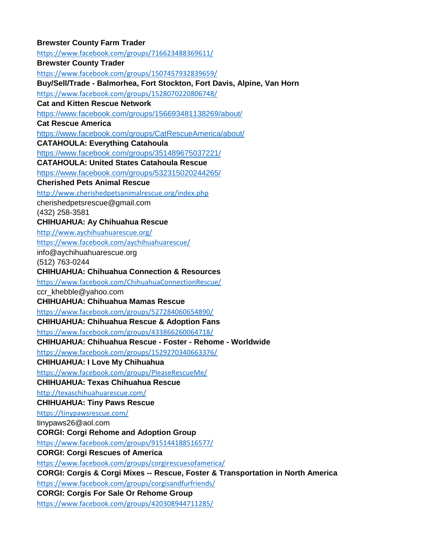## **Brewster County Farm Trader** <https://www.facebook.com/groups/716623488369611/> **Brewster County Trader** <https://www.facebook.com/groups/1507457932839659/> **Buy/Sell/Trade - Balmorhea, Fort Stockton, Fort Davis, Alpine, Van Horn** <https://www.facebook.com/groups/1528070220806748/> **Cat and Kitten Rescue Network** <https://www.facebook.com/groups/156693481138269/about/> **Cat Rescue America** <https://www.facebook.com/groups/CatRescueAmerica/about/> **CATAHOULA: Everything Catahoula** <https://www.facebook.com/groups/351489675037221/> **CATAHOULA: United States Catahoula Rescue** <https://www.facebook.com/groups/532315020244265/> **Cherished Pets Animal Rescue** <http://www.cherishedpetsanimalrescue.org/index.php> cherishedpetsrescue@gmail.com (432) 258-3581 **CHIHUAHUA: Ay Chihuahua Rescue** <http://www.aychihuahuarescue.org/> <https://www.facebook.com/aychihuahuarescue/> info@aychihuahuarescue.org (512) 763-0244 **CHIHUAHUA: Chihuahua Connection & Resources** <https://www.facebook.com/ChihuahuaConnectionRescue/> ccr\_khebble@yahoo.com **CHIHUAHUA: Chihuahua Mamas Rescue** <https://www.facebook.com/groups/527284060654890/> **CHIHUAHUA: Chihuahua Rescue & Adoption Fans** <https://www.facebook.com/groups/433866260064718/> **CHIHUAHUA: Chihuahua Rescue - Foster - Rehome - Worldwide** <https://www.facebook.com/groups/1529270340663376/> **CHIHUAHUA: I Love My Chihuahua** <https://www.facebook.com/groups/PleaseRescueMe/> **CHIHUAHUA: Texas Chihuahua Rescue** <http://texaschihuahuarescue.com/> **CHIHUAHUA: Tiny Paws Rescue** <https://tinypawsrescue.com/> tinypaws26@aol.com **CORGI: Corgi Rehome and Adoption Group** <https://www.facebook.com/groups/915144188516577/> **CORGI: Corgi Rescues of America** <https://www.facebook.com/groups/corgirescuesofamerica/> **CORGI: Corgis & Corgi Mixes -- Rescue, Foster & Transportation in North America** <https://www.facebook.com/groups/corgisandfurfriends/> **CORGI: Corgis For Sale Or Rehome Group** <https://www.facebook.com/groups/420308944711285/>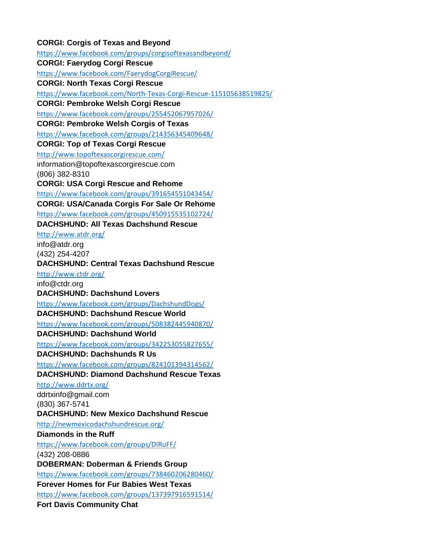## **CORGI: Corgis of Texas and Beyond** <https://www.facebook.com/groups/corgisoftexasandbeyond/> **CORGI: Faerydog Corgi Rescue** <https://www.facebook.com/FaerydogCorgiRescue/> **CORGI: North Texas Corgi Rescue** <https://www.facebook.com/North-Texas-Corgi-Rescue-115105638519825/> **CORGI: Pembroke Welsh Corgi Rescue** <https://www.facebook.com/groups/255452067957026/> **CORGI: Pembroke Welsh Corgis of Texas** <https://www.facebook.com/groups/214356345409648/> **CORGI: Top of Texas Corgi Rescue** <http://www.topoftexascorgirescue.com/> information@topoftexascorgirescue.com (806) 382-8310 **CORGI: USA Corgi Rescue and Rehome** <https://www.facebook.com/groups/391654551043454/> **CORGI: USA/Canada Corgis For Sale Or Rehome** <https://www.facebook.com/groups/450915535102724/> **DACHSHUND: All Texas Dachshund Rescue** <http://www.atdr.org/> info@atdr.org (432) 254-4207 **DACHSHUND: Central Texas Dachshund Rescue** <http://www.ctdr.org/> info@ctdr.org **DACHSHUND: Dachshund Lovers** <https://www.facebook.com/groups/DachshundDogs/> **DACHSHUND: Dachshund Rescue World** <https://www.facebook.com/groups/508382445940870/> **DACHSHUND: Dachshund World** <https://www.facebook.com/groups/342253055827655/> **DACHSHUND: Dachshunds R Us** <https://www.facebook.com/groups/824101394314562/> **DACHSHUND: Diamond Dachshund Rescue Texas** <http://www.ddrtx.org/> ddrtxinfo@gmail.com (830) 367-5741 **DACHSHUND: New Mexico Dachshund Rescue** <http://newmexicodachshundrescue.org/> **Diamonds in the Ruff** <https://www.facebook.com/groups/DIRuFF/> (432) 208-0886 **DOBERMAN: Doberman & Friends Group** <https://www.facebook.com/groups/738460206280460/> **Forever Homes for Fur Babies West Texas** <https://www.facebook.com/groups/137397916591514/> **Fort Davis Community Chat**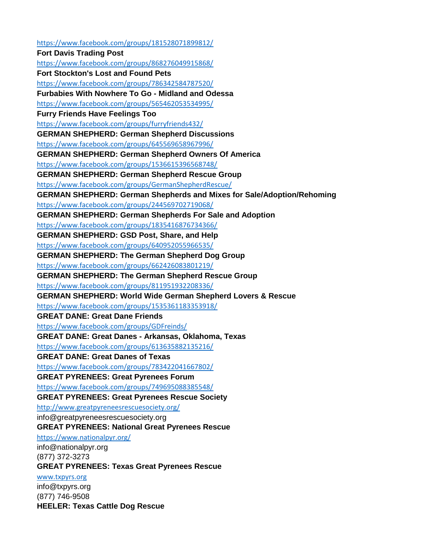<https://www.facebook.com/groups/181528071899812/> **Fort Davis Trading Post** <https://www.facebook.com/groups/868276049915868/> **Fort Stockton's Lost and Found Pets** <https://www.facebook.com/groups/786342584787520/> **Furbabies With Nowhere To Go - Midland and Odessa** <https://www.facebook.com/groups/565462053534995/> **Furry Friends Have Feelings Too** <https://www.facebook.com/groups/furryfriends432/> **GERMAN SHEPHERD: German Shepherd Discussions** <https://www.facebook.com/groups/645569658967996/> **GERMAN SHEPHERD: German Shepherd Owners Of America** <https://www.facebook.com/groups/1536615396568748/> **GERMAN SHEPHERD: German Shepherd Rescue Group** <https://www.facebook.com/groups/GermanShepherdRescue/> **GERMAN SHEPHERD: German Shepherds and Mixes for Sale/Adoption/Rehoming** <https://www.facebook.com/groups/244569702719068/> **GERMAN SHEPHERD: German Shepherds For Sale and Adoption** <https://www.facebook.com/groups/1835416876734366/> **GERMAN SHEPHERD: GSD Post, Share, and Help** <https://www.facebook.com/groups/640952055966535/> **GERMAN SHEPHERD: The German Shepherd Dog Group** <https://www.facebook.com/groups/662426083801219/> **GERMAN SHEPHERD: The German Shepherd Rescue Group** <https://www.facebook.com/groups/811951932208336/> **GERMAN SHEPHERD: World Wide German Shepherd Lovers & Rescue** <https://www.facebook.com/groups/1535361183353918/> **GREAT DANE: Great Dane Friends** <https://www.facebook.com/groups/GDFreinds/> **GREAT DANE: Great Danes - Arkansas, Oklahoma, Texas** <https://www.facebook.com/groups/613635882135216/> **GREAT DANE: Great Danes of Texas** <https://www.facebook.com/groups/783422041667802/> **GREAT PYRENEES: Great Pyrenees Forum** <https://www.facebook.com/groups/749695088385548/> **GREAT PYRENEES: Great Pyrenees Rescue Society** <http://www.greatpyreneesrescuesociety.org/> info@greatpyreneesrescuesociety.org **GREAT PYRENEES: National Great Pyrenees Rescue** <https://www.nationalpyr.org/> info@nationalpyr.org (877) 372-3273 **GREAT PYRENEES: Texas Great Pyrenees Rescue** [www.txpyrs.org](http://www.txpyrs.org/) info@txpyrs.org (877) 746-9508 **HEELER: Texas Cattle Dog Rescue**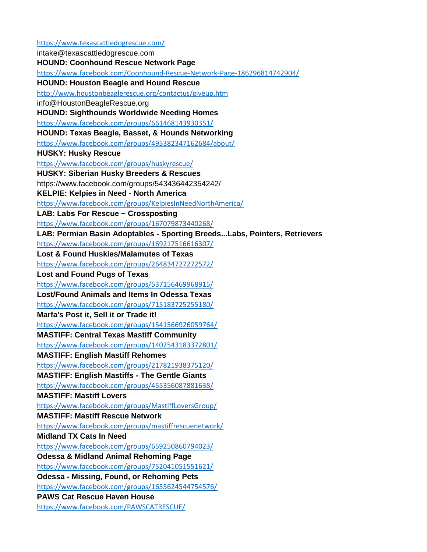<https://www.texascattledogrescue.com/> intake@texascattledogrescue.com **HOUND: Coonhound Rescue Network Page** <https://www.facebook.com/Coonhound-Rescue-Network-Page-186296814742904/> **HOUND: Houston Beagle and Hound Rescue** <http://www.houstonbeaglerescue.org/contactus/giveup.htm> info@HoustonBeagleRescue.org **HOUND: Sighthounds Worldwide Needing Homes** <https://www.facebook.com/groups/661468143930351/> **HOUND: Texas Beagle, Basset, & Hounds Networking** <https://www.facebook.com/groups/495382347162684/about/> **HUSKY: Husky Rescue** <https://www.facebook.com/groups/huskyrescue/> **HUSKY: Siberian Husky Breeders & Rescues** https://www.facebook.com/groups/543436442354242/ **KELPIE: Kelpies in Need - North America** <https://www.facebook.com/groups/KelpiesInNeedNorthAmerica/> **LAB: Labs For Rescue ~ Crossposting** <https://www.facebook.com/groups/167079873440268/> **LAB: Permian Basin Adoptables - Sporting Breeds...Labs, Pointers, Retrievers** <https://www.facebook.com/groups/169217516616307/> **Lost & Found Huskies/Malamutes of Texas** <https://www.facebook.com/groups/264834727272572/> **Lost and Found Pugs of Texas** <https://www.facebook.com/groups/537156469968915/> **Lost/Found Animals and Items In Odessa Texas** <https://www.facebook.com/groups/715183725255180/> **Marfa's Post it, Sell it or Trade it!** <https://www.facebook.com/groups/1541566926059764/> **MASTIFF: Central Texas Mastiff Community** <https://www.facebook.com/groups/1402543183372801/> **MASTIFF: English Mastiff Rehomes** <https://www.facebook.com/groups/217821938375120/> **MASTIFF: English Mastiffs - The Gentle Giants** <https://www.facebook.com/groups/455356087881638/> **MASTIFF: Mastiff Lovers** <https://www.facebook.com/groups/MastiffLoversGroup/> **MASTIFF: Mastiff Rescue Network** <https://www.facebook.com/groups/mastiffrescuenetwork/> **Midland TX Cats In Need** <https://www.facebook.com/groups/659250860794023/> **Odessa & Midland Animal Rehoming Page** <https://www.facebook.com/groups/752041051551621/> **Odessa - Missing, Found, or Rehoming Pets** <https://www.facebook.com/groups/1655624544754576/> **PAWS Cat Rescue Haven House** <https://www.facebook.com/PAWSCATRESCUE/>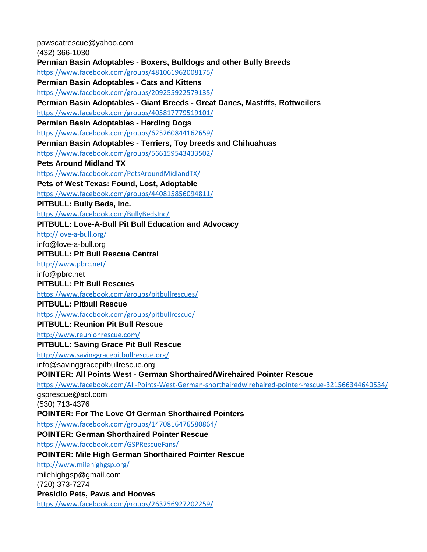pawscatrescue@yahoo.com (432) 366-1030 **Permian Basin Adoptables - Boxers, Bulldogs and other Bully Breeds** <https://www.facebook.com/groups/481061962008175/> **Permian Basin Adoptables - Cats and Kittens** <https://www.facebook.com/groups/209255922579135/> **Permian Basin Adoptables - Giant Breeds - Great Danes, Mastiffs, Rottweilers** <https://www.facebook.com/groups/405817779519101/> **Permian Basin Adoptables - Herding Dogs** <https://www.facebook.com/groups/625260844162659/> **Permian Basin Adoptables - Terriers, Toy breeds and Chihuahuas** <https://www.facebook.com/groups/566159543433502/> **Pets Around Midland TX** <https://www.facebook.com/PetsAroundMidlandTX/> **Pets of West Texas: Found, Lost, Adoptable** <https://www.facebook.com/groups/440815856094811/> **PITBULL: Bully Beds, Inc.** <https://www.facebook.com/BullyBedsInc/> **PITBULL: Love-A-Bull Pit Bull Education and Advocacy** <http://love-a-bull.org/> info@love-a-bull.org **PITBULL: Pit Bull Rescue Central** <http://www.pbrc.net/> info@pbrc.net **PITBULL: Pit Bull Rescues** <https://www.facebook.com/groups/pitbullrescues/> **PITBULL: Pitbull Rescue** <https://www.facebook.com/groups/pitbullrescue/> **PITBULL: Reunion Pit Bull Rescue** <http://www.reunionrescue.com/> **PITBULL: Saving Grace Pit Bull Rescue** <http://www.savinggracepitbullrescue.org/> info@savinggracepitbullrescue.org **POINTER: All Points West - German Shorthaired/Wirehaired Pointer Rescue** <https://www.facebook.com/All-Points-West-German-shorthairedwirehaired-pointer-rescue-321566344640534/> gsprescue@aol.com (530) 713-4376 **POINTER: For The Love Of German Shorthaired Pointers** <https://www.facebook.com/groups/1470816476580864/> **POINTER: German Shorthaired Pointer Rescue** <https://www.facebook.com/GSPRescueFans/> **POINTER: Mile High German Shorthaired Pointer Rescue** <http://www.milehighgsp.org/> milehighgsp@gmail.com (720) 373-7274 **Presidio Pets, Paws and Hooves** <https://www.facebook.com/groups/263256927202259/>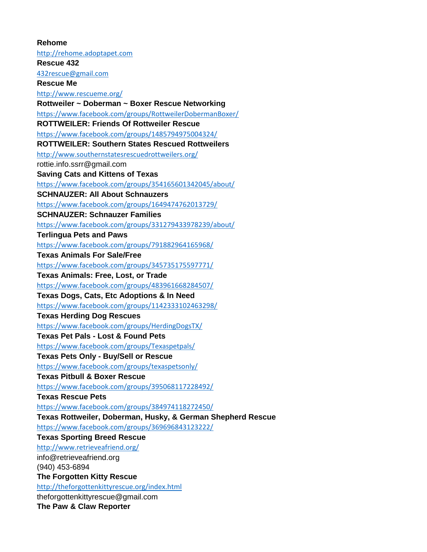**Rehome** [http://rehome.adoptapet.com](http://rehome.adoptapet.com/) **Rescue 432** [432rescue@gmail.com](mailto:432rescue@gmail.com) **Rescue Me** <http://www.rescueme.org/> **Rottweiler ~ Doberman ~ Boxer Rescue Networking** <https://www.facebook.com/groups/RottweilerDobermanBoxer/> **ROTTWEILER: Friends Of Rottweiler Rescue** <https://www.facebook.com/groups/1485794975004324/> **ROTTWEILER: Southern States Rescued Rottweilers** <http://www.southernstatesrescuedrottweilers.org/> rottie.info.ssrr@gmail.com **Saving Cats and Kittens of Texas** <https://www.facebook.com/groups/354165601342045/about/> **SCHNAUZER: All About Schnauzers** <https://www.facebook.com/groups/1649474762013729/> **SCHNAUZER: Schnauzer Families** <https://www.facebook.com/groups/331279433978239/about/> **Terlingua Pets and Paws** <https://www.facebook.com/groups/791882964165968/> **Texas Animals For Sale/Free** <https://www.facebook.com/groups/345735175597771/> **Texas Animals: Free, Lost, or Trade** <https://www.facebook.com/groups/483961668284507/> **Texas Dogs, Cats, Etc Adoptions & In Need** <https://www.facebook.com/groups/1142333102463298/> **Texas Herding Dog Rescues** <https://www.facebook.com/groups/HerdingDogsTX/> **Texas Pet Pals - Lost & Found Pets** <https://www.facebook.com/groups/Texaspetpals/> **Texas Pets Only - Buy/Sell or Rescue** <https://www.facebook.com/groups/texaspetsonly/> **Texas Pitbull & Boxer Rescue** <https://www.facebook.com/groups/395068117228492/> **Texas Rescue Pets** <https://www.facebook.com/groups/384974118272450/> **Texas Rottweiler, Doberman, Husky, & German Shepherd Rescue** <https://www.facebook.com/groups/369696843123222/> **Texas Sporting Breed Rescue** <http://www.retrieveafriend.org/> info@retrieveafriend.org (940) 453-6894 **The Forgotten Kitty Rescue** <http://theforgottenkittyrescue.org/index.html> theforgottenkittyrescue@gmail.com **The Paw & Claw Reporter**